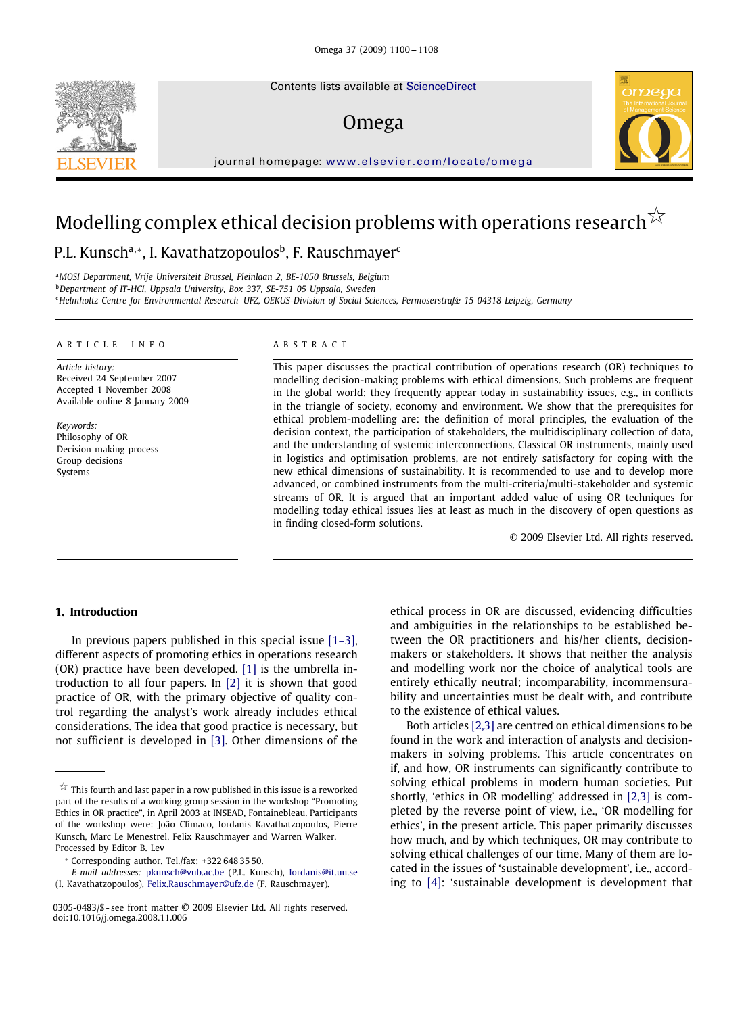Contents lists available at [ScienceDirect](http://www.sciencedirect.com/science/journal/omega)

## Omega



journal homepage: [www.elsevier.com/locate/omega](http://www.elsevier.com/locate/omega)

# Modelling complex ethical decision problems with operations research  $^{\not\sim}$

## P.L. Kunsch<sup>a,∗</sup>, I. Kavathatzopoulos<sup>b</sup>, F. Rauschmayer<sup>c</sup>

<sup>a</sup>*MOSI Department, Vrije Universiteit Brussel, Pleinlaan 2, BE-1050 Brussels, Belgium* <sup>b</sup>*Department of IT-HCI, Uppsala University, Box 337, SE-751 05 Uppsala, Sweden* <sup>c</sup>*Helmholtz Centre for Environmental Research–UFZ, OEKUS-Division of Social Sciences, Permoserstraße 15 04318 Leipzig, Germany*

### ARTICLE INFO ABSTRACT

*Article history:* Received 24 September 2007 Accepted 1 November 2008 Available online 8 January 2009

*Keywords:* Philosophy of OR Decision-making process Group decisions Systems

This paper discusses the practical contribution of operations research (OR) techniques to modelling decision-making problems with ethical dimensions. Such problems are frequent in the global world: they frequently appear today in sustainability issues, e.g., in conflicts in the triangle of society, economy and environment. We show that the prerequisites for ethical problem-modelling are: the definition of moral principles, the evaluation of the decision context, the participation of stakeholders, the multidisciplinary collection of data, and the understanding of systemic interconnections. Classical OR instruments, mainly used in logistics and optimisation problems, are not entirely satisfactory for coping with the new ethical dimensions of sustainability. It is recommended to use and to develop more advanced, or combined instruments from the multi-criteria/multi-stakeholder and systemic streams of OR. It is argued that an important added value of using OR techniques for modelling today ethical issues lies at least as much in the discovery of open questions as in finding closed-form solutions.

© 2009 Elsevier Ltd. All rights reserved.

## **1. Introduction**

In previous papers published in this special issue  $[1-3]$ , different aspects of promoting ethics in operations research (OR) practice have been developed. [\[1\]](#page--1-0) is the umbrella introduction to all four papers. In [\[2\]](#page--1-1) it is shown that good practice of OR, with the primary objective of quality control regarding the analyst's work already includes ethical considerations. The idea that good practice is necessary, but not sufficient is developed in [\[3\].](#page--1-2) Other dimensions of the ethical process in OR are discussed, evidencing difficulties and ambiguities in the relationships to be established between the OR practitioners and his/her clients, decisionmakers or stakeholders. It shows that neither the analysis and modelling work nor the choice of analytical tools are entirely ethically neutral; incomparability, incommensurability and uncertainties must be dealt with, and contribute to the existence of ethical values.

Both articles [2,3] are centred on ethical dimensions to be found in the work and interaction of analysts and decisionmakers in solving problems. This article concentrates on if, and how, OR instruments can significantly contribute to solving ethical problems in modern human societies. Put shortly, 'ethics in OR modelling' addressed in [2,3] is completed by the reverse point of view, i.e., `OR modelling for ethics', in the present article. This paper primarily discusses how much, and by which techniques, OR may contribute to solving ethical challenges of our time. Many of them are located in the issues of `sustainable development', i.e., according to [\[4\]:](#page--1-3) `sustainable development is development that



 $\overleftrightarrow{\times}$  This fourth and last paper in a row published in this issue is a reworked part of the results of a working group session in the workshop "Promoting Ethics in OR practice", in April 2003 at INSEAD, Fontainebleau. Participants of the workshop were: João Clímaco, Iordanis Kavathatzopoulos, Pierre Kunsch, Marc Le Menestrel, Felix Rauschmayer and Warren Walker. Processed by Editor B. Lev

<sup>∗</sup> Corresponding author. Tel./fax: +322 648 35 50.

*E-mail addresses:* [pkunsch@vub.ac.be](mailto:pkunsch@vub.ac.be) (P.L. Kunsch), [Iordanis@it.uu.se](mailto:Iordanis@it.uu.se) (I. Kavathatzopoulos), [Felix.Rauschmayer@ufz.de](mailto:Felix.Rauschmayer@ufz.de) (F. Rauschmayer).

<sup>0305-0483/\$ -</sup> see front matter © 2009 Elsevier Ltd. All rights reserved. doi:10.1016/j.omega.2008.11.006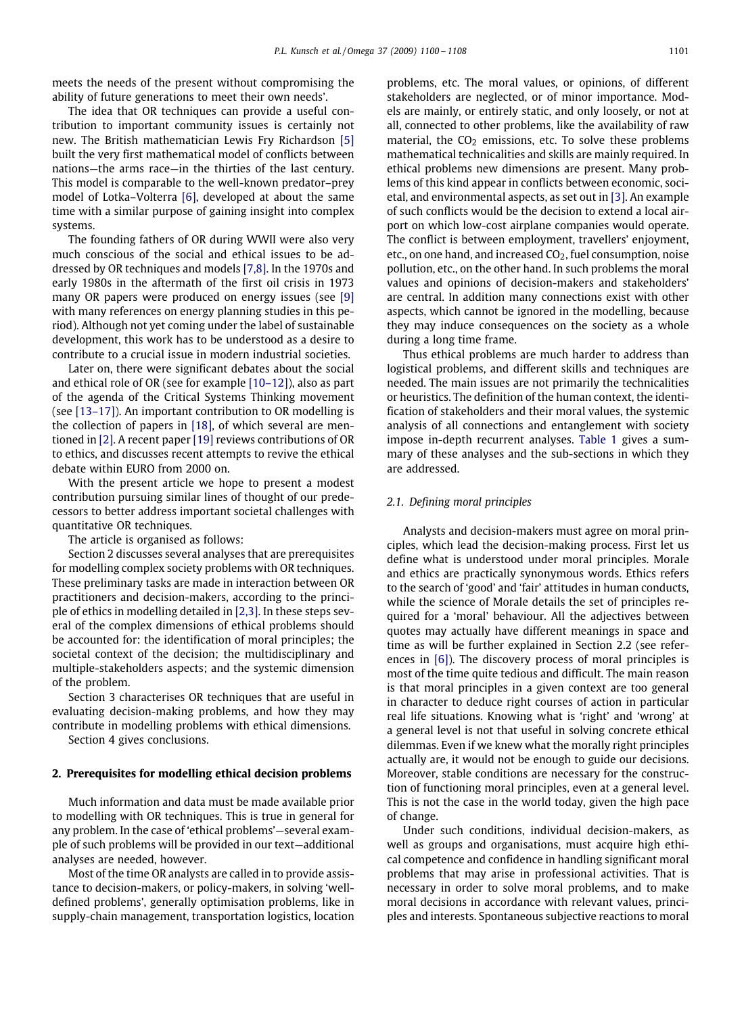meets the needs of the present without compromising the ability of future generations to meet their own needs'.

The idea that OR techniques can provide a useful contribution to important community issues is certainly not new. The British mathematician Lewis Fry Richardson [\[5\]](#page--1-4) built the very first mathematical model of conflicts between nations—the arms race—in the thirties of the last century. This model is comparable to the well-known predator–prey model of Lotka–Volterra [\[6\],](#page--1-5) developed at about the same time with a similar purpose of gaining insight into complex systems.

The founding fathers of OR during WWII were also very much conscious of the social and ethical issues to be addressed by OR techniques and models [7,8]. In the 1970s and early 1980s in the aftermath of the first oil crisis in 1973 many OR papers were produced on energy issues (see [\[9\]](#page--1-6) with many references on energy planning studies in this period). Although not yet coming under the label of sustainable development, this work has to be understood as a desire to contribute to a crucial issue in modern industrial societies.

Later on, there were significant debates about the social and ethical role of OR (see for example [10–12]), also as part of the agenda of the Critical Systems Thinking movement (see [13–17]). An important contribution to OR modelling is the collection of papers in [\[18\],](#page--1-7) of which several are mentioned in [\[2\].](#page--1-1) A recent paper [\[19\]](#page--1-8) reviews contributions of OR to ethics, and discusses recent attempts to revive the ethical debate within EURO from 2000 on.

With the present article we hope to present a modest contribution pursuing similar lines of thought of our predecessors to better address important societal challenges with quantitative OR techniques.

The article is organised as follows:

Section 2 discusses several analyses that are prerequisites for modelling complex society problems with OR techniques. These preliminary tasks are made in interaction between OR practitioners and decision-makers, according to the principle of ethics in modelling detailed in [2,3]. In these steps several of the complex dimensions of ethical problems should be accounted for: the identification of moral principles; the societal context of the decision; the multidisciplinary and multiple-stakeholders aspects; and the systemic dimension of the problem.

Section 3 characterises OR techniques that are useful in evaluating decision-making problems, and how they may contribute in modelling problems with ethical dimensions.

Section 4 gives conclusions.

### **2. Prerequisites for modelling ethical decision problems**

Much information and data must be made available prior to modelling with OR techniques. This is true in general for any problem. In the case of 'ethical problems'-several example of such problems will be provided in our text—additional analyses are needed, however.

Most of the time OR analysts are called in to provide assistance to decision-makers, or policy-makers, in solving 'welldefined problems', generally optimisation problems, like in supply-chain management, transportation logistics, location problems, etc. The moral values, or opinions, of different stakeholders are neglected, or of minor importance. Models are mainly, or entirely static, and only loosely, or not at all, connected to other problems, like the availability of raw material, the  $CO<sub>2</sub>$  emissions, etc. To solve these problems mathematical technicalities and skills are mainly required. In ethical problems new dimensions are present. Many problems of this kind appear in conflicts between economic, societal, and environmental aspects, as set out in [\[3\].](#page--1-2) An example of such conflicts would be the decision to extend a local airport on which low-cost airplane companies would operate. The conflict is between employment, travellers' enjoyment, etc., on one hand, and increased  $CO<sub>2</sub>$ , fuel consumption, noise pollution, etc., on the other hand. In such problems the moral values and opinions of decision-makers and stakeholders' are central. In addition many connections exist with other aspects, which cannot be ignored in the modelling, because they may induce consequences on the society as a whole during a long time frame.

Thus ethical problems are much harder to address than logistical problems, and different skills and techniques are needed. The main issues are not primarily the technicalities or heuristics. The definition of the human context, the identification of stakeholders and their moral values, the systemic analysis of all connections and entanglement with society impose in-depth recurrent analyses. [Table 1](#page--1-9) gives a summary of these analyses and the sub-sections in which they are addressed.

### *2.1. Defining moral principles*

Analysts and decision-makers must agree on moral principles, which lead the decision-making process. First let us define what is understood under moral principles. Morale and ethics are practically synonymous words. Ethics refers to the search of `good' and `fair' attitudes in human conducts, while the science of Morale details the set of principles required for a 'moral' behaviour. All the adjectives between quotes may actually have different meanings in space and time as will be further explained in Section 2.2 (see references in [\[6\]\)](#page--1-5). The discovery process of moral principles is most of the time quite tedious and difficult. The main reason is that moral principles in a given context are too general in character to deduce right courses of action in particular real life situations. Knowing what is 'right' and 'wrong' at a general level is not that useful in solving concrete ethical dilemmas. Even if we knew what the morally right principles actually are, it would not be enough to guide our decisions. Moreover, stable conditions are necessary for the construction of functioning moral principles, even at a general level. This is not the case in the world today, given the high pace of change.

Under such conditions, individual decision-makers, as well as groups and organisations, must acquire high ethical competence and confidence in handling significant moral problems that may arise in professional activities. That is necessary in order to solve moral problems, and to make moral decisions in accordance with relevant values, principles and interests. Spontaneous subjective reactions to moral